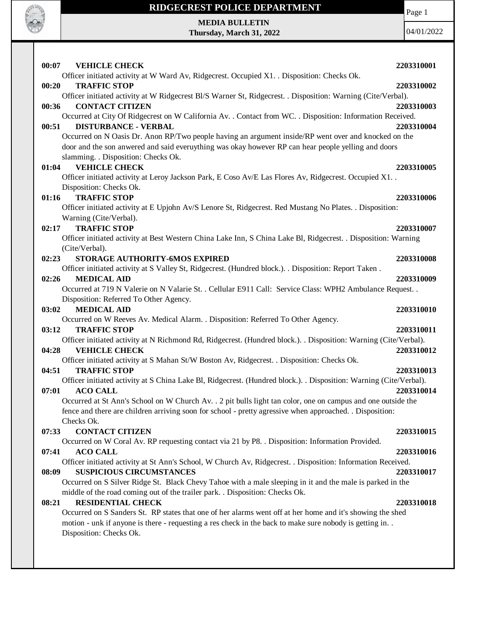

Page 1

**MEDIA BULLETIN Thursday, March 31, 2022**

| 00:07<br><b>VEHICLE CHECK</b><br>Officer initiated activity at W Ward Av, Ridgecrest. Occupied X1. . Disposition: Checks Ok.                                                                                        | 2203310001 |
|---------------------------------------------------------------------------------------------------------------------------------------------------------------------------------------------------------------------|------------|
| <b>TRAFFIC STOP</b><br>00:20                                                                                                                                                                                        | 2203310002 |
| Officer initiated activity at W Ridgecrest Bl/S Warner St, Ridgecrest. . Disposition: Warning (Cite/Verbal).                                                                                                        |            |
| <b>CONTACT CITIZEN</b><br>00:36                                                                                                                                                                                     | 2203310003 |
| Occurred at City Of Ridgecrest on W California Av. . Contact from WC. . Disposition: Information Received.                                                                                                          |            |
| <b>DISTURBANCE - VERBAL</b><br>00:51                                                                                                                                                                                | 2203310004 |
| Occurred on N Oasis Dr. Anon RP/Two people having an argument inside/RP went over and knocked on the                                                                                                                |            |
| door and the son anwered and said everuything was okay however RP can hear people yelling and doors                                                                                                                 |            |
| slamming. . Disposition: Checks Ok.                                                                                                                                                                                 |            |
| <b>VEHICLE CHECK</b><br>01:04                                                                                                                                                                                       | 2203310005 |
| Officer initiated activity at Leroy Jackson Park, E Coso Av/E Las Flores Av, Ridgecrest. Occupied X1. .                                                                                                             |            |
| Disposition: Checks Ok.                                                                                                                                                                                             |            |
| <b>TRAFFIC STOP</b><br>01:16                                                                                                                                                                                        | 2203310006 |
| Officer initiated activity at E Upjohn Av/S Lenore St, Ridgecrest. Red Mustang No Plates. . Disposition:                                                                                                            |            |
| Warning (Cite/Verbal).                                                                                                                                                                                              |            |
| <b>TRAFFIC STOP</b><br>02:17                                                                                                                                                                                        | 2203310007 |
| Officer initiated activity at Best Western China Lake Inn, S China Lake Bl, Ridgecrest. . Disposition: Warning                                                                                                      |            |
| (Cite/Verbal).                                                                                                                                                                                                      |            |
| STORAGE AUTHORITY-6MOS EXPIRED<br>02:23                                                                                                                                                                             | 2203310008 |
| Officer initiated activity at S Valley St, Ridgecrest. (Hundred block.). . Disposition: Report Taken.                                                                                                               |            |
| <b>MEDICAL AID</b><br>02:26                                                                                                                                                                                         | 2203310009 |
| Occurred at 719 N Valerie on N Valarie St. . Cellular E911 Call: Service Class: WPH2 Ambulance Request. .                                                                                                           |            |
| Disposition: Referred To Other Agency.                                                                                                                                                                              |            |
| <b>MEDICAL AID</b><br>03:02                                                                                                                                                                                         | 2203310010 |
| Occurred on W Reeves Av. Medical Alarm. . Disposition: Referred To Other Agency.                                                                                                                                    |            |
| 03:12<br><b>TRAFFIC STOP</b>                                                                                                                                                                                        | 2203310011 |
| Officer initiated activity at N Richmond Rd, Ridgecrest. (Hundred block.). . Disposition: Warning (Cite/Verbal).                                                                                                    |            |
| 04:28<br><b>VEHICLE CHECK</b>                                                                                                                                                                                       | 2203310012 |
| Officer initiated activity at S Mahan St/W Boston Av, Ridgecrest. . Disposition: Checks Ok.                                                                                                                         |            |
| <b>TRAFFIC STOP</b><br>04:51                                                                                                                                                                                        | 2203310013 |
| Officer initiated activity at S China Lake Bl, Ridgecrest. (Hundred block.). . Disposition: Warning (Cite/Verbal).                                                                                                  |            |
| <b>ACO CALL</b><br>07:01                                                                                                                                                                                            | 2203310014 |
| Occurred at St Ann's School on W Church Av. . 2 pit bulls light tan color, one on campus and one outside the                                                                                                        |            |
| fence and there are children arriving soon for school - pretty agressive when approached. Disposition:                                                                                                              |            |
| Checks Ok.                                                                                                                                                                                                          |            |
| 07:33<br><b>CONTACT CITIZEN</b>                                                                                                                                                                                     | 2203310015 |
| Occurred on W Coral Av. RP requesting contact via 21 by P8. . Disposition: Information Provided.                                                                                                                    |            |
| 07:41<br><b>ACO CALL</b>                                                                                                                                                                                            | 2203310016 |
| Officer initiated activity at St Ann's School, W Church Av, Ridgecrest. . Disposition: Information Received.                                                                                                        |            |
| 08:09<br><b>SUSPICIOUS CIRCUMSTANCES</b>                                                                                                                                                                            | 2203310017 |
| Occurred on S Silver Ridge St. Black Chevy Tahoe with a male sleeping in it and the male is parked in the                                                                                                           |            |
| middle of the road coming out of the trailer park. . Disposition: Checks Ok.                                                                                                                                        |            |
| <b>RESIDENTIAL CHECK</b><br>08:21                                                                                                                                                                                   | 2203310018 |
| Occurred on S Sanders St. RP states that one of her alarms went off at her home and it's showing the shed<br>motion - unk if anyone is there - requesting a res check in the back to make sure nobody is getting in |            |
| Disposition: Checks Ok.                                                                                                                                                                                             |            |
|                                                                                                                                                                                                                     |            |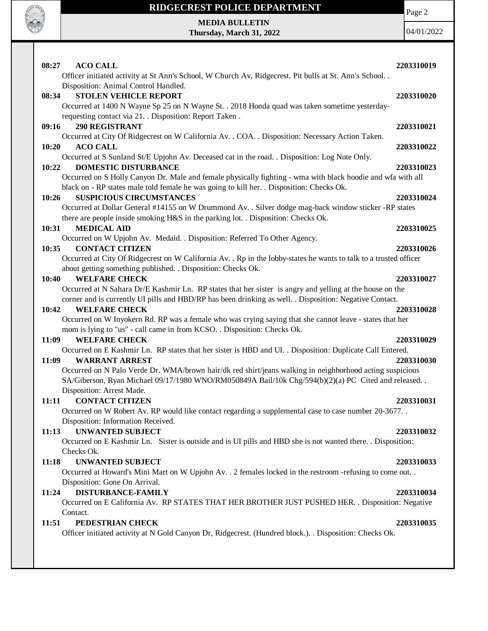

Page 2

**MEDIA BULLETIN Thursday, March 31, 2022**

| 08:27<br><b>ACO CALL</b>                                                                                                                      | 2203310019 |
|-----------------------------------------------------------------------------------------------------------------------------------------------|------------|
| Officer initiated activity at St Ann's School, W Church Av, Ridgecrest. Pit bulls at St. Ann's School<br>Disposition: Animal Control Handled. |            |
| <b>STOLEN VEHICLE REPORT</b><br>08:34                                                                                                         | 2203310020 |
|                                                                                                                                               |            |
| Occurred at 1400 N Wayne Sp 25 on N Wayne St. . 2018 Honda quad was taken sometime yesterday-                                                 |            |
| requesting contact via 21. . Disposition: Report Taken.<br><b>290 REGISTRANT</b><br>09:16                                                     |            |
| Occurred at City Of Ridgecrest on W California Av. . COA. . Disposition: Necessary Action Taken.                                              | 2203310021 |
| <b>ACO CALL</b><br>10:20                                                                                                                      | 2203310022 |
| Occurred at S Sunland St/E Upjohn Av. Deceased cat in the road. . Disposition: Log Note Only.                                                 |            |
| <b>DOMESTIC DISTURBANCE</b><br>10:22                                                                                                          | 2203310023 |
| Occurred on S Holly Canyon Dr. Male and female physically fighting - wma with black hoodie and wfa with all                                   |            |
| black on - RP states male told female he was going to kill her. . Disposition: Checks Ok.                                                     |            |
| <b>SUSPICIOUS CIRCUMSTANCES</b><br>10:26                                                                                                      | 2203310024 |
| Occurred at Dollar General #14155 on W Drummond Av. . Silver dodge mag-back window sticker -RP states                                         |            |
| there are people inside smoking H&S in the parking lot. . Disposition: Checks Ok.                                                             |            |
| <b>MEDICAL AID</b><br>10:31                                                                                                                   | 2203310025 |
| Occurred on W Upjohn Av. Medaid. . Disposition: Referred To Other Agency.                                                                     |            |
| <b>CONTACT CITIZEN</b><br>10:35                                                                                                               | 2203310026 |
| Occurred at City Of Ridgecrest on W California Av. . Rp in the lobby-states he wants to talk to a trusted officer                             |            |
| about getting something published. . Disposition: Checks Ok.                                                                                  |            |
| <b>WELFARE CHECK</b><br>10:40                                                                                                                 | 2203310027 |
| Occurred at N Sahara Dr/E Kashmir Ln. RP states that her sister is angry and yelling at the house on the                                      |            |
| corner and is currently UI pills and HBD/RP has been drinking as well. . Disposition: Negative Contact.                                       |            |
| <b>WELFARE CHECK</b><br>10:42                                                                                                                 | 2203310028 |
| Occurred on W Inyokern Rd. RP was a female who was crying saying that she cannot leave - states that her                                      |            |
| mom is lying to "us" - call came in from KCSO. . Disposition: Checks Ok.                                                                      |            |
| <b>WELFARE CHECK</b><br>11:09                                                                                                                 | 2203310029 |
| Occurred on E Kashmir Ln. RP states that her sister is HBD and UI. . Disposition: Duplicate Call Entered.                                     |            |
| 11:09<br><b>WARRANT ARREST</b>                                                                                                                | 2203310030 |
| Occurred on N Palo Verde Dr. WMA/brown hair/dk red shirt/jeans walking in neighborhood acting suspicious                                      |            |
| SA/Giberson, Ryan Michael 09/17/1980 WNO/RM050849A Bail/10k Chg/594(b)(2)(a) PC Cited and released                                            |            |
| Disposition: Arrest Made.                                                                                                                     |            |
| <b>CONTACT CITIZEN</b><br>11:11                                                                                                               | 2203310031 |
| Occurred on W Robert Av. RP would like contact regarding a supplemental case to case number 20-3677. .                                        |            |
| Disposition: Information Received.                                                                                                            |            |
| <b>UNWANTED SUBJECT</b><br>11:13                                                                                                              | 2203310032 |
| Occurred on E Kashmir Ln. Sister is outside and is UI pills and HBD she is not wanted there. . Disposition:                                   |            |
| Checks Ok.                                                                                                                                    |            |
| <b>UNWANTED SUBJECT</b><br>11:18                                                                                                              | 2203310033 |
| Occurred at Howard's Mini Mart on W Upjohn Av. . 2 females locked in the restroom -refusing to come out. .                                    |            |
| Disposition: Gone On Arrival.                                                                                                                 |            |
| <b>DISTURBANCE-FAMILY</b><br>11:24                                                                                                            | 2203310034 |
| Occurred on E California Av. RP STATES THAT HER BROTHER JUST PUSHED HER. . Disposition: Negative                                              |            |
| Contact.                                                                                                                                      |            |
| 11:51<br>PEDESTRIAN CHECK                                                                                                                     | 2203310035 |
| Officer initiated activity at N Gold Canyon Dr, Ridgecrest. (Hundred block.). . Disposition: Checks Ok.                                       |            |
|                                                                                                                                               |            |
|                                                                                                                                               |            |
|                                                                                                                                               |            |
|                                                                                                                                               |            |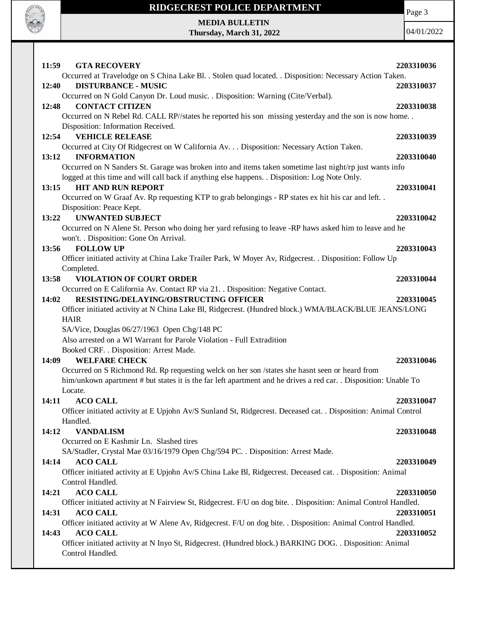



**CALL OF OFFICER** 

| 11:59<br><b>GTA RECOVERY</b>                                                                                         | 2203310036 |
|----------------------------------------------------------------------------------------------------------------------|------------|
| Occurred at Travelodge on S China Lake Bl. . Stolen quad located. . Disposition: Necessary Action Taken.             |            |
| <b>DISTURBANCE - MUSIC</b><br>12:40                                                                                  | 2203310037 |
| Occurred on N Gold Canyon Dr. Loud music. . Disposition: Warning (Cite/Verbal).                                      |            |
| 12:48<br><b>CONTACT CITIZEN</b>                                                                                      | 2203310038 |
| Occurred on N Rebel Rd. CALL RP//states he reported his son missing yesterday and the son is now home                |            |
| Disposition: Information Received.                                                                                   |            |
| 12:54<br><b>VEHICLE RELEASE</b>                                                                                      | 2203310039 |
| Occurred at City Of Ridgecrest on W California Av. Disposition: Necessary Action Taken.                              |            |
| <b>INFORMATION</b><br>13:12                                                                                          | 2203310040 |
| Occurred on N Sanders St. Garage was broken into and items taken sometime last night/rp just wants info              |            |
| logged at this time and will call back if anything else happens. . Disposition: Log Note Only.                       |            |
| <b>HIT AND RUN REPORT</b><br>13:15                                                                                   | 2203310041 |
| Occurred on W Graaf Av. Rp requesting KTP to grab belongings - RP states ex hit his car and left. .                  |            |
| Disposition: Peace Kept.                                                                                             |            |
| <b>UNWANTED SUBJECT</b><br>13:22                                                                                     | 2203310042 |
| Occurred on N Alene St. Person who doing her yard refusing to leave -RP haws asked him to leave and he               |            |
| won't. . Disposition: Gone On Arrival.                                                                               |            |
| <b>FOLLOW UP</b><br>13:56                                                                                            | 2203310043 |
| Officer initiated activity at China Lake Trailer Park, W Moyer Av, Ridgecrest. . Disposition: Follow Up              |            |
| Completed.                                                                                                           |            |
| <b>VIOLATION OF COURT ORDER</b><br>13:58                                                                             | 2203310044 |
| Occurred on E California Av. Contact RP via 21. . Disposition: Negative Contact.                                     |            |
| RESISTING/DELAYING/OBSTRUCTING OFFICER<br>14:02                                                                      | 2203310045 |
| Officer initiated activity at N China Lake Bl, Ridgecrest. (Hundred block.) WMA/BLACK/BLUE JEANS/LONG<br><b>HAIR</b> |            |
| SA/Vice, Douglas 06/27/1963 Open Chg/148 PC                                                                          |            |
| Also arrested on a WI Warrant for Parole Violation - Full Extradition                                                |            |
| Booked CRF. . Disposition: Arrest Made.                                                                              |            |
| <b>WELFARE CHECK</b><br>14:09                                                                                        | 2203310046 |
| Occurred on S Richmond Rd. Rp requesting welck on her son /states she hasnt seen or heard from                       |            |
| him/unkown apartment # but states it is the far left apartment and he drives a red car. . Disposition: Unable To     |            |
| Locate.                                                                                                              |            |
| <b>ACO CALL</b><br>14:11                                                                                             | 2203310047 |
| Officer initiated activity at E Upjohn Av/S Sunland St, Ridgecrest. Deceased cat. . Disposition: Animal Control      |            |
| Handled.                                                                                                             |            |
| 14:12<br><b>VANDALISM</b>                                                                                            | 2203310048 |
| Occurred on E Kashmir Ln. Slashed tires                                                                              |            |
| SA/Stadler, Crystal Mae 03/16/1979 Open Chg/594 PC. . Disposition: Arrest Made.                                      |            |
| <b>ACO CALL</b><br>14:14                                                                                             | 2203310049 |
| Officer initiated activity at E Upjohn Av/S China Lake Bl, Ridgecrest. Deceased cat. . Disposition: Animal           |            |
| Control Handled.                                                                                                     |            |
| <b>ACO CALL</b><br>14:21                                                                                             | 2203310050 |
| Officer initiated activity at N Fairview St, Ridgecrest. F/U on dog bite. . Disposition: Animal Control Handled.     |            |
| 14:31<br><b>ACO CALL</b>                                                                                             | 2203310051 |
| Officer initiated activity at W Alene Av, Ridgecrest. F/U on dog bite. . Disposition: Animal Control Handled.        |            |
| 14:43<br><b>ACO CALL</b>                                                                                             | 2203310052 |
| Officer initiated activity at N Inyo St, Ridgecrest. (Hundred block.) BARKING DOG. . Disposition: Animal             |            |
| Control Handled.                                                                                                     |            |
|                                                                                                                      |            |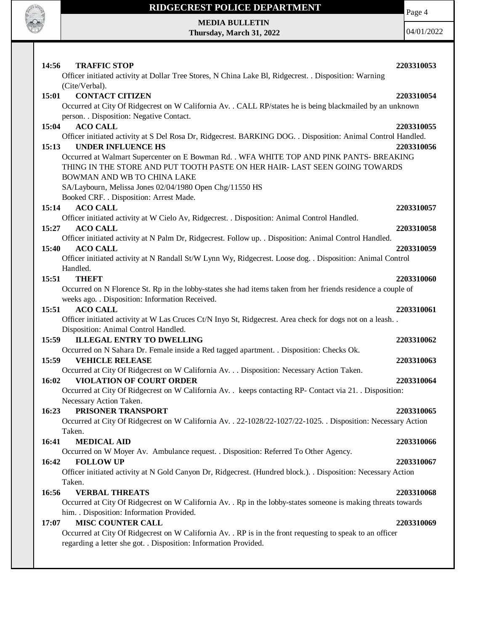

Page 4

**MEDIA BULLETIN Thursday, March 31, 2022**

| <b>TRAFFIC STOP</b><br>14:56                                                                                                        | 2203310053 |
|-------------------------------------------------------------------------------------------------------------------------------------|------------|
| Officer initiated activity at Dollar Tree Stores, N China Lake Bl, Ridgecrest. . Disposition: Warning                               |            |
| (Cite/Verbal).                                                                                                                      |            |
| <b>CONTACT CITIZEN</b><br>15:01                                                                                                     | 2203310054 |
| Occurred at City Of Ridgecrest on W California Av. . CALL RP/states he is being blackmailed by an unknown                           |            |
| person. . Disposition: Negative Contact.                                                                                            |            |
| <b>ACO CALL</b><br>15:04                                                                                                            | 2203310055 |
| Officer initiated activity at S Del Rosa Dr, Ridgecrest. BARKING DOG. . Disposition: Animal Control Handled.                        |            |
| <b>UNDER INFLUENCE HS</b><br>15:13                                                                                                  | 2203310056 |
| Occurred at Walmart Supercenter on E Bowman Rd. . WFA WHITE TOP AND PINK PANTS- BREAKING                                            |            |
| THING IN THE STORE AND PUT TOOTH PASTE ON HER HAIR-LAST SEEN GOING TOWARDS                                                          |            |
| BOWMAN AND WB TO CHINA LAKE                                                                                                         |            |
| SA/Laybourn, Melissa Jones 02/04/1980 Open Chg/11550 HS                                                                             |            |
| Booked CRF. . Disposition: Arrest Made.                                                                                             |            |
| <b>ACO CALL</b><br>15:14                                                                                                            | 2203310057 |
| Officer initiated activity at W Cielo Av, Ridgecrest. . Disposition: Animal Control Handled.                                        |            |
| 15:27<br><b>ACO CALL</b>                                                                                                            | 2203310058 |
| Officer initiated activity at N Palm Dr, Ridgecrest. Follow up. . Disposition: Animal Control Handled.                              |            |
| <b>ACO CALL</b><br>15:40                                                                                                            | 2203310059 |
| Officer initiated activity at N Randall St/W Lynn Wy, Ridgecrest. Loose dog. . Disposition: Animal Control                          |            |
| Handled.                                                                                                                            |            |
| 15:51<br><b>THEFT</b>                                                                                                               | 2203310060 |
| Occurred on N Florence St. Rp in the lobby-states she had items taken from her friends residence a couple of                        |            |
| weeks ago. . Disposition: Information Received.                                                                                     |            |
| <b>ACO CALL</b><br>15:51                                                                                                            | 2203310061 |
| Officer initiated activity at W Las Cruces Ct/N Inyo St, Ridgecrest. Area check for dogs not on a leash                             |            |
| Disposition: Animal Control Handled.                                                                                                |            |
| <b>ILLEGAL ENTRY TO DWELLING</b><br>15:59                                                                                           | 2203310062 |
| Occurred on N Sahara Dr. Female inside a Red tagged apartment. . Disposition: Checks Ok.                                            |            |
| 15:59<br><b>VEHICLE RELEASE</b>                                                                                                     | 2203310063 |
| Occurred at City Of Ridgecrest on W California Av. Disposition: Necessary Action Taken.<br><b>VIOLATION OF COURT ORDER</b><br>16:02 | 2203310064 |
| Occurred at City Of Ridgecrest on W California Av. . keeps contacting RP- Contact via 21. . Disposition:                            |            |
| Necessary Action Taken.                                                                                                             |            |
| <b>16:23 PRISONER TRANSPORT</b>                                                                                                     | 2203310065 |
| Occurred at City Of Ridgecrest on W California Av. . 22-1028/22-1027/22-1025. . Disposition: Necessary Action                       |            |
| Taken.                                                                                                                              |            |
| 16:41<br><b>MEDICAL AID</b>                                                                                                         | 2203310066 |
| Occurred on W Moyer Av. Ambulance request. . Disposition: Referred To Other Agency.                                                 |            |
| 16:42<br><b>FOLLOW UP</b>                                                                                                           | 2203310067 |
| Officer initiated activity at N Gold Canyon Dr, Ridgecrest. (Hundred block.). . Disposition: Necessary Action                       |            |
| Taken.                                                                                                                              |            |
| 16:56<br><b>VERBAL THREATS</b>                                                                                                      | 2203310068 |
| Occurred at City Of Ridgecrest on W California Av. . Rp in the lobby-states someone is making threats towards                       |            |
| him. . Disposition: Information Provided.                                                                                           |            |
| <b>MISC COUNTER CALL</b><br>17:07                                                                                                   | 2203310069 |
| Occurred at City Of Ridgecrest on W California Av. . RP is in the front requesting to speak to an officer                           |            |
| regarding a letter she got. . Disposition: Information Provided.                                                                    |            |
|                                                                                                                                     |            |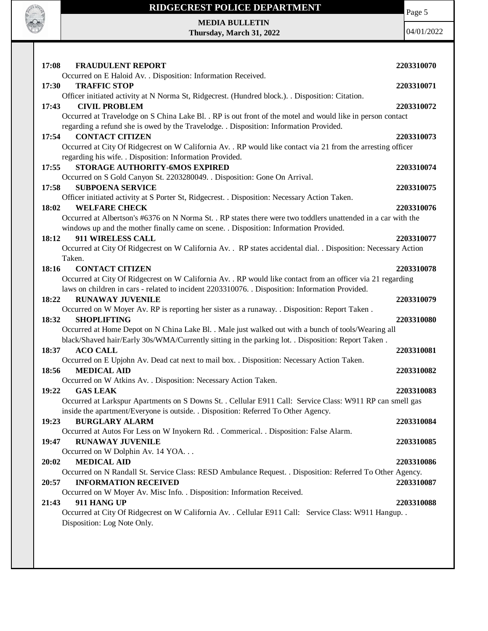